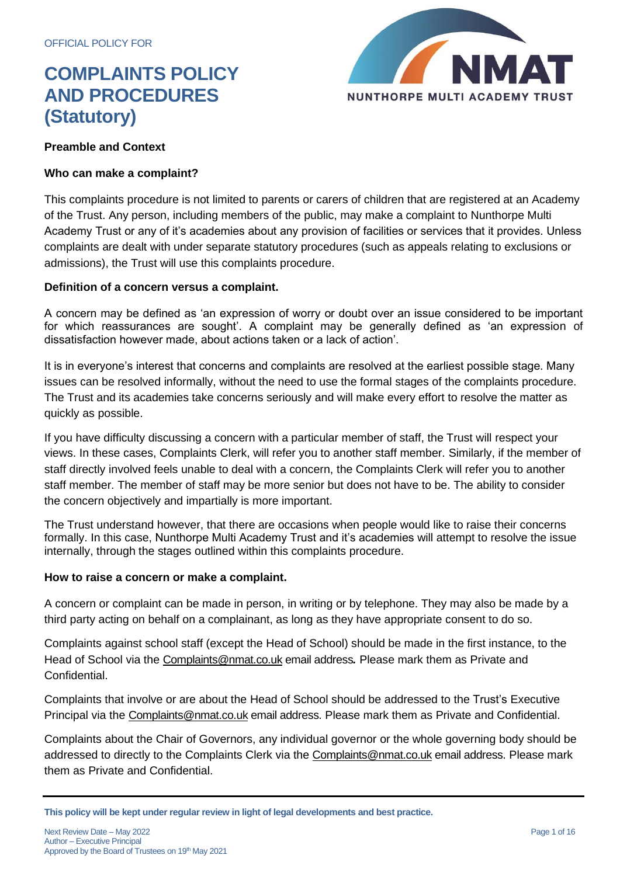

### **Preamble and Context**

### **Who can make a complaint?**

This complaints procedure is not limited to parents or carers of children that are registered at an Academy of the Trust. Any person, including members of the public, may make a complaint to Nunthorpe Multi Academy Trust or any of it's academies about any provision of facilities or services that it provides. Unless complaints are dealt with under separate statutory procedures (such as appeals relating to exclusions or admissions), the Trust will use this complaints procedure.

### **Definition of a concern versus a complaint.**

A concern may be defined as 'an expression of worry or doubt over an issue considered to be important for which reassurances are sought'. A complaint may be generally defined as 'an expression of dissatisfaction however made, about actions taken or a lack of action'.

It is in everyone's interest that concerns and complaints are resolved at the earliest possible stage. Many issues can be resolved informally, without the need to use the formal stages of the complaints procedure. The Trust and its academies take concerns seriously and will make every effort to resolve the matter as quickly as possible.

If you have difficulty discussing a concern with a particular member of staff, the Trust will respect your views. In these cases, Complaints Clerk, will refer you to another staff member. Similarly, if the member of staff directly involved feels unable to deal with a concern, the Complaints Clerk will refer you to another staff member. The member of staff may be more senior but does not have to be. The ability to consider the concern objectively and impartially is more important.

The Trust understand however, that there are occasions when people would like to raise their concerns formally. In this case, Nunthorpe Multi Academy Trust and it's academies will attempt to resolve the issue internally, through the stages outlined within this complaints procedure.

### **How to raise a concern or make a complaint.**

A concern or complaint can be made in person, in writing or by telephone. They may also be made by a third party acting on behalf on a complainant, as long as they have appropriate consent to do so.

Complaints against school staff (except the Head of School) should be made in the first instance, to the Head of School via the [Complaints@nmat.co.uk](mailto:Complaints@nmat.co.uk) email address*.* Please mark them as Private and Confidential.

Complaints that involve or are about the Head of School should be addressed to the Trust's Executive Principal via the [Complaints@nmat.co.uk](mailto:Complaints@nmat.co.uk) email address. Please mark them as Private and Confidential.

Complaints about the Chair of Governors, any individual governor or the whole governing body should be addressed to directly to the Complaints Clerk via the [Complaints@nmat.co.uk](mailto:Complaints@nmat.co.uk) email address. Please mark them as Private and Confidential.

**This policy will be kept under regular review in light of legal developments and best practice.**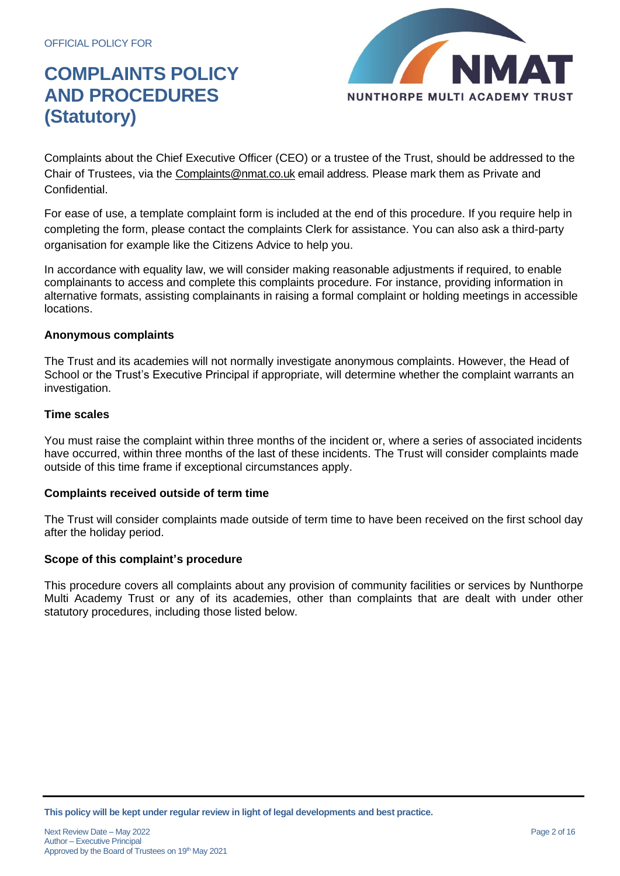

Complaints about the Chief Executive Officer (CEO) or a trustee of the Trust, should be addressed to the Chair of Trustees, via the [Complaints@nmat.co.uk](mailto:Complaints@nmat.co.uk) email address. Please mark them as Private and Confidential.

For ease of use, a template complaint form is included at the end of this procedure. If you require help in completing the form, please contact the complaints Clerk for assistance. You can also ask a third-party organisation for example like the Citizens Advice to help you.

In accordance with equality law, we will consider making reasonable adjustments if required, to enable complainants to access and complete this complaints procedure. For instance, providing information in alternative formats, assisting complainants in raising a formal complaint or holding meetings in accessible locations.

### **Anonymous complaints**

The Trust and its academies will not normally investigate anonymous complaints. However, the Head of School or the Trust's Executive Principal if appropriate, will determine whether the complaint warrants an investigation.

### **Time scales**

You must raise the complaint within three months of the incident or, where a series of associated incidents have occurred, within three months of the last of these incidents. The Trust will consider complaints made outside of this time frame if exceptional circumstances apply.

### **Complaints received outside of term time**

The Trust will consider complaints made outside of term time to have been received on the first school day after the holiday period.

### **Scope of this complaint's procedure**

This procedure covers all complaints about any provision of community facilities or services by Nunthorpe Multi Academy Trust or any of its academies, other than complaints that are dealt with under other statutory procedures, including those listed below.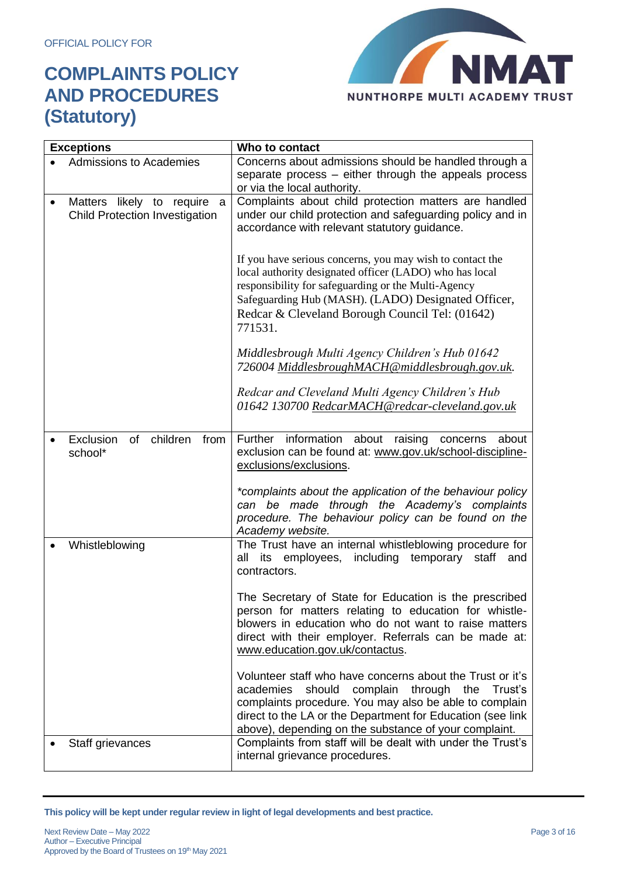

| <b>Exceptions</b>                                                                    | Who to contact                                                                                                                                                                                                                                                                                             |
|--------------------------------------------------------------------------------------|------------------------------------------------------------------------------------------------------------------------------------------------------------------------------------------------------------------------------------------------------------------------------------------------------------|
| <b>Admissions to Academies</b>                                                       | Concerns about admissions should be handled through a<br>separate process – either through the appeals process<br>or via the local authority.                                                                                                                                                              |
| Matters likely to require<br>a<br>$\bullet$<br><b>Child Protection Investigation</b> | Complaints about child protection matters are handled<br>under our child protection and safeguarding policy and in<br>accordance with relevant statutory guidance.                                                                                                                                         |
|                                                                                      | If you have serious concerns, you may wish to contact the<br>local authority designated officer (LADO) who has local<br>responsibility for safeguarding or the Multi-Agency<br>Safeguarding Hub (MASH). (LADO) Designated Officer,<br>Redcar & Cleveland Borough Council Tel: (01642)<br>771531.           |
|                                                                                      | Middlesbrough Multi Agency Children's Hub 01642<br>726004 MiddlesbroughMACH@middlesbrough.gov.uk.                                                                                                                                                                                                          |
|                                                                                      | Redcar and Cleveland Multi Agency Children's Hub<br>01642 130700 RedcarMACH@redcar-cleveland.gov.uk                                                                                                                                                                                                        |
| of children<br>Exclusion<br>from<br>school*                                          | information about<br>Further<br>raising<br>about<br>concerns<br>exclusion can be found at: www.gov.uk/school-discipline-<br>exclusions/exclusions.                                                                                                                                                         |
|                                                                                      | *complaints about the application of the behaviour policy<br>can be made through the Academy's complaints<br>procedure. The behaviour policy can be found on the<br>Academy website.                                                                                                                       |
| Whistleblowing                                                                       | The Trust have an internal whistleblowing procedure for<br>employees, including<br>temporary<br>all<br>its<br>staff and<br>contractors.                                                                                                                                                                    |
|                                                                                      | The Secretary of State for Education is the prescribed<br>person for matters relating to education for whistle-<br>blowers in education who do not want to raise matters<br>direct with their employer. Referrals can be made at:<br>www.education.gov.uk/contactus.                                       |
|                                                                                      | Volunteer staff who have concerns about the Trust or it's<br>should<br>through<br>Trust's<br>academies<br>complain<br>the<br>complaints procedure. You may also be able to complain<br>direct to the LA or the Department for Education (see link<br>above), depending on the substance of your complaint. |
| Staff grievances                                                                     | Complaints from staff will be dealt with under the Trust's<br>internal grievance procedures.                                                                                                                                                                                                               |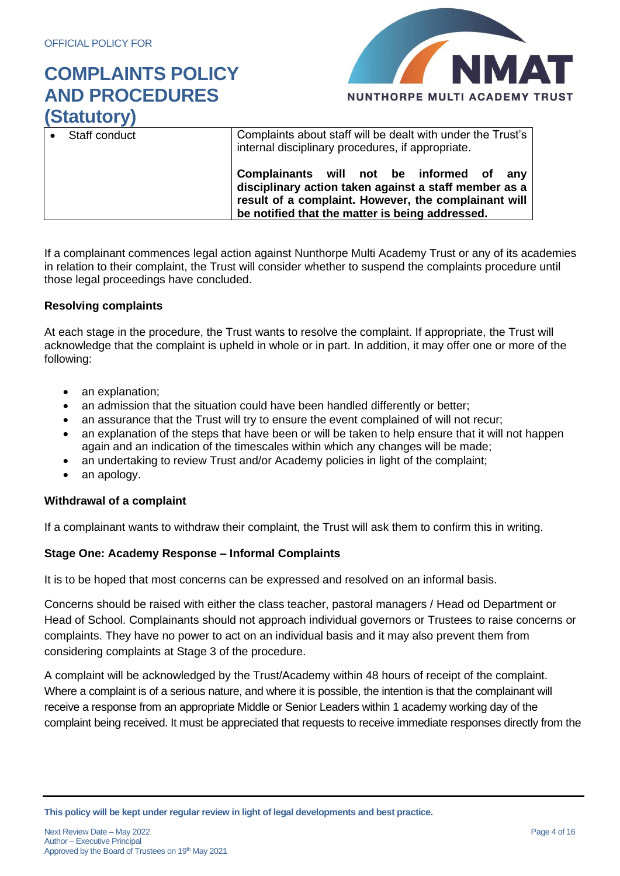

| .             |                                                                                                                                                                                                                 |  |
|---------------|-----------------------------------------------------------------------------------------------------------------------------------------------------------------------------------------------------------------|--|
| Staff conduct | Complaints about staff will be dealt with under the Trust's<br>internal disciplinary procedures, if appropriate.                                                                                                |  |
|               | Complainants will not be informed of<br>anv<br>disciplinary action taken against a staff member as a<br>result of a complaint. However, the complainant will<br>be notified that the matter is being addressed. |  |

If a complainant commences legal action against Nunthorpe Multi Academy Trust or any of its academies in relation to their complaint, the Trust will consider whether to suspend the complaints procedure until those legal proceedings have concluded.

### **Resolving complaints**

At each stage in the procedure, the Trust wants to resolve the complaint. If appropriate, the Trust will acknowledge that the complaint is upheld in whole or in part. In addition, it may offer one or more of the following:

- an explanation;
- an admission that the situation could have been handled differently or better;
- an assurance that the Trust will try to ensure the event complained of will not recur;
- an explanation of the steps that have been or will be taken to help ensure that it will not happen again and an indication of the timescales within which any changes will be made;
- an undertaking to review Trust and/or Academy policies in light of the complaint;
- an apology.

### **Withdrawal of a complaint**

If a complainant wants to withdraw their complaint, the Trust will ask them to confirm this in writing.

### **Stage One: Academy Response – Informal Complaints**

It is to be hoped that most concerns can be expressed and resolved on an informal basis.

Concerns should be raised with either the class teacher, pastoral managers / Head od Department or Head of School. Complainants should not approach individual governors or Trustees to raise concerns or complaints. They have no power to act on an individual basis and it may also prevent them from considering complaints at Stage 3 of the procedure.

A complaint will be acknowledged by the Trust/Academy within 48 hours of receipt of the complaint. Where a complaint is of a serious nature, and where it is possible, the intention is that the complainant will receive a response from an appropriate Middle or Senior Leaders within 1 academy working day of the complaint being received. It must be appreciated that requests to receive immediate responses directly from the

**This policy will be kept under regular review in light of legal developments and best practice.**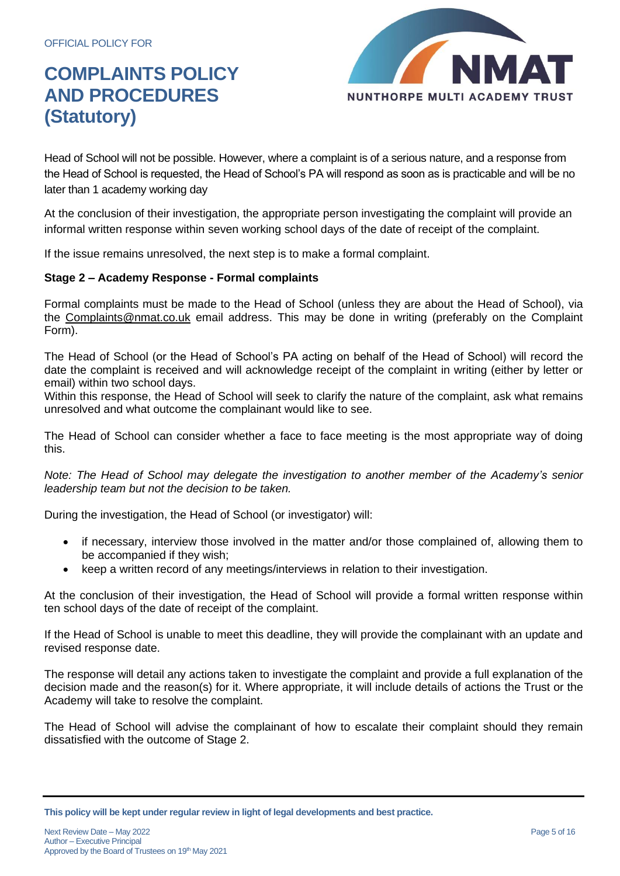

Head of School will not be possible. However, where a complaint is of a serious nature, and a response from the Head of School is requested, the Head of School's PA will respond as soon as is practicable and will be no later than 1 academy working day

At the conclusion of their investigation, the appropriate person investigating the complaint will provide an informal written response within seven working school days of the date of receipt of the complaint.

If the issue remains unresolved, the next step is to make a formal complaint.

### **Stage 2 – Academy Response - Formal complaints**

Formal complaints must be made to the Head of School (unless they are about the Head of School), via the [Complaints@nmat.co.uk](mailto:Complaints@nmat.co.uk) email address. This may be done in writing (preferably on the Complaint Form).

The Head of School (or the Head of School's PA acting on behalf of the Head of School) will record the date the complaint is received and will acknowledge receipt of the complaint in writing (either by letter or email) within two school days.

Within this response, the Head of School will seek to clarify the nature of the complaint, ask what remains unresolved and what outcome the complainant would like to see.

The Head of School can consider whether a face to face meeting is the most appropriate way of doing this.

*Note: The Head of School may delegate the investigation to another member of the Academy's senior leadership team but not the decision to be taken.*

During the investigation, the Head of School (or investigator) will:

- if necessary, interview those involved in the matter and/or those complained of, allowing them to be accompanied if they wish;
- keep a written record of any meetings/interviews in relation to their investigation.

At the conclusion of their investigation, the Head of School will provide a formal written response within ten school days of the date of receipt of the complaint.

If the Head of School is unable to meet this deadline, they will provide the complainant with an update and revised response date.

The response will detail any actions taken to investigate the complaint and provide a full explanation of the decision made and the reason(s) for it. Where appropriate, it will include details of actions the Trust or the Academy will take to resolve the complaint.

The Head of School will advise the complainant of how to escalate their complaint should they remain dissatisfied with the outcome of Stage 2.

**This policy will be kept under regular review in light of legal developments and best practice.**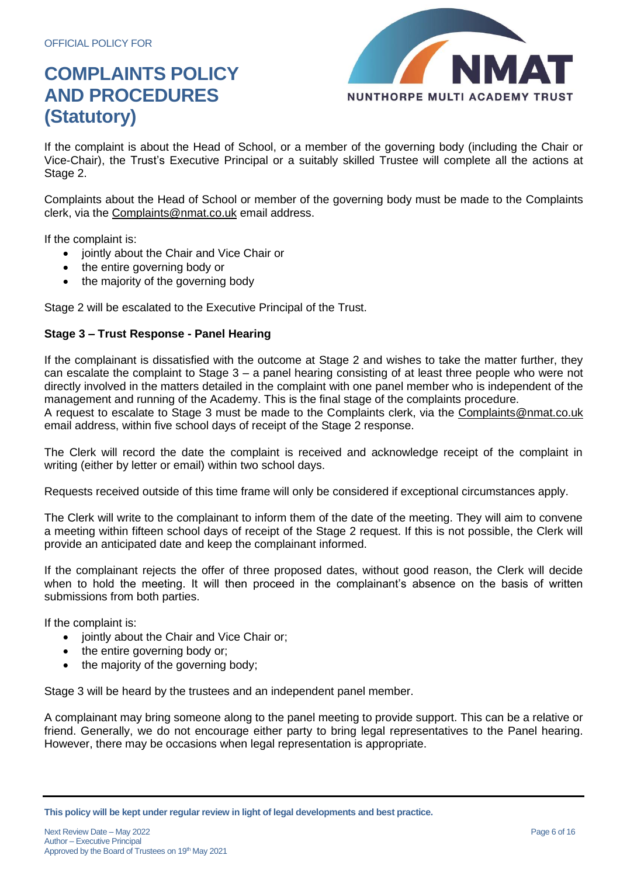

If the complaint is about the Head of School, or a member of the governing body (including the Chair or Vice-Chair), the Trust's Executive Principal or a suitably skilled Trustee will complete all the actions at Stage 2.

Complaints about the Head of School or member of the governing body must be made to the Complaints clerk, via the [Complaints@nmat.co.uk](mailto:Complaints@nmat.co.uk) email address.

If the complaint is:

- jointly about the Chair and Vice Chair or
- the entire governing body or
- the majority of the governing body

Stage 2 will be escalated to the Executive Principal of the Trust.

### **Stage 3 – Trust Response - Panel Hearing**

If the complainant is dissatisfied with the outcome at Stage 2 and wishes to take the matter further, they can escalate the complaint to Stage 3 – a panel hearing consisting of at least three people who were not directly involved in the matters detailed in the complaint with one panel member who is independent of the management and running of the Academy. This is the final stage of the complaints procedure.

A request to escalate to Stage 3 must be made to the Complaints clerk, via the [Complaints@nmat.co.uk](mailto:Complaints@nmat.co.uk) email address, within five school days of receipt of the Stage 2 response.

The Clerk will record the date the complaint is received and acknowledge receipt of the complaint in writing (either by letter or email) within two school days.

Requests received outside of this time frame will only be considered if exceptional circumstances apply.

The Clerk will write to the complainant to inform them of the date of the meeting. They will aim to convene a meeting within fifteen school days of receipt of the Stage 2 request. If this is not possible, the Clerk will provide an anticipated date and keep the complainant informed.

If the complainant rejects the offer of three proposed dates, without good reason, the Clerk will decide when to hold the meeting. It will then proceed in the complainant's absence on the basis of written submissions from both parties.

If the complaint is:

- jointly about the Chair and Vice Chair or;
- the entire governing body or;
- the majority of the governing body;

Stage 3 will be heard by the trustees and an independent panel member.

A complainant may bring someone along to the panel meeting to provide support. This can be a relative or friend. Generally, we do not encourage either party to bring legal representatives to the Panel hearing. However, there may be occasions when legal representation is appropriate.

**This policy will be kept under regular review in light of legal developments and best practice.**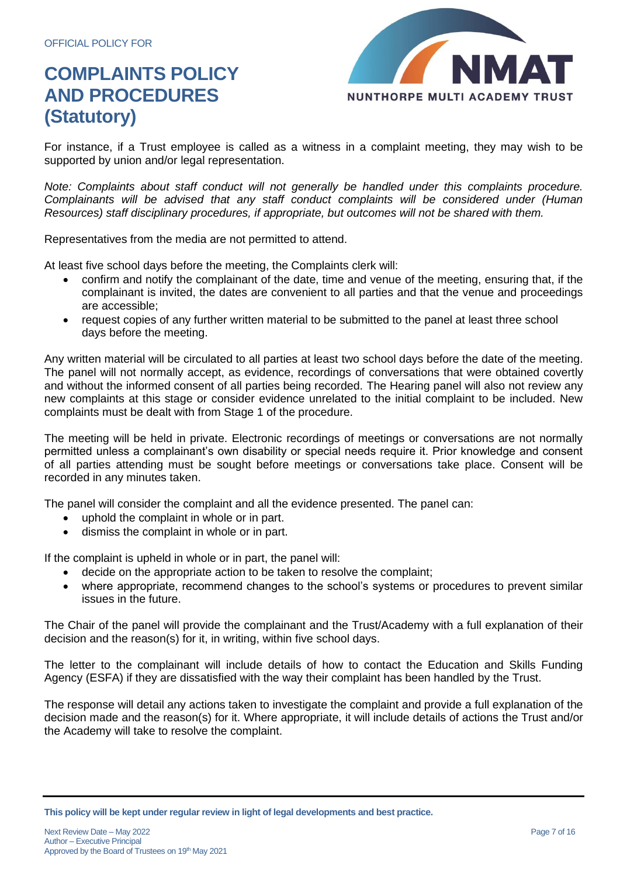

For instance, if a Trust employee is called as a witness in a complaint meeting, they may wish to be supported by union and/or legal representation.

*Note: Complaints about staff conduct will not generally be handled under this complaints procedure. Complainants will be advised that any staff conduct complaints will be considered under (Human Resources) staff disciplinary procedures, if appropriate, but outcomes will not be shared with them.* 

Representatives from the media are not permitted to attend.

At least five school days before the meeting, the Complaints clerk will:

- confirm and notify the complainant of the date, time and venue of the meeting, ensuring that, if the complainant is invited, the dates are convenient to all parties and that the venue and proceedings are accessible;
- request copies of any further written material to be submitted to the panel at least three school days before the meeting.

Any written material will be circulated to all parties at least two school days before the date of the meeting. The panel will not normally accept, as evidence, recordings of conversations that were obtained covertly and without the informed consent of all parties being recorded. The Hearing panel will also not review any new complaints at this stage or consider evidence unrelated to the initial complaint to be included. New complaints must be dealt with from Stage 1 of the procedure.

The meeting will be held in private. Electronic recordings of meetings or conversations are not normally permitted unless a complainant's own disability or special needs require it. Prior knowledge and consent of all parties attending must be sought before meetings or conversations take place. Consent will be recorded in any minutes taken.

The panel will consider the complaint and all the evidence presented. The panel can:

- uphold the complaint in whole or in part.
- dismiss the complaint in whole or in part.

If the complaint is upheld in whole or in part, the panel will:

- decide on the appropriate action to be taken to resolve the complaint;
- where appropriate, recommend changes to the school's systems or procedures to prevent similar issues in the future.

The Chair of the panel will provide the complainant and the Trust/Academy with a full explanation of their decision and the reason(s) for it, in writing, within five school days.

The letter to the complainant will include details of how to contact the Education and Skills Funding Agency (ESFA) if they are dissatisfied with the way their complaint has been handled by the Trust.

The response will detail any actions taken to investigate the complaint and provide a full explanation of the decision made and the reason(s) for it. Where appropriate, it will include details of actions the Trust and/or the Academy will take to resolve the complaint.

**This policy will be kept under regular review in light of legal developments and best practice.**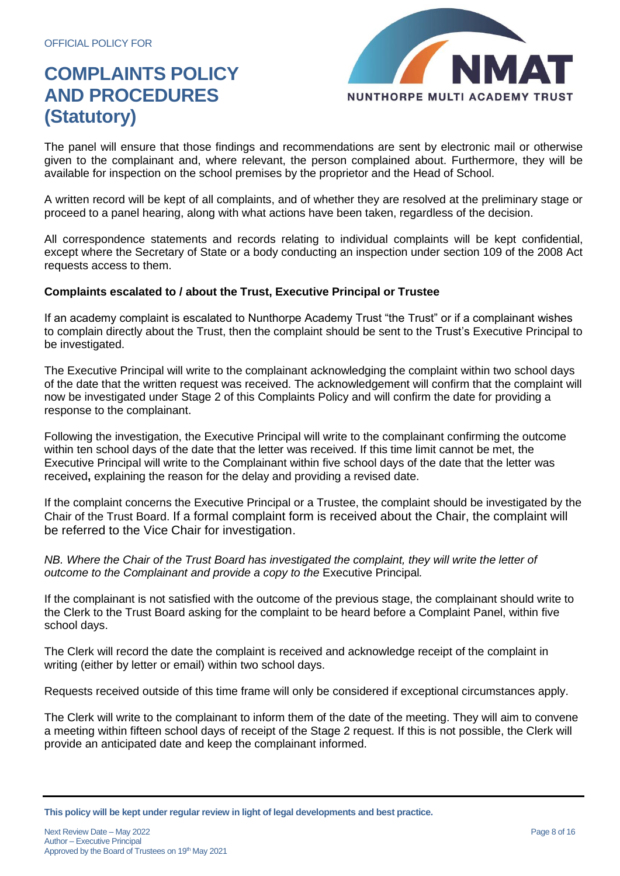

The panel will ensure that those findings and recommendations are sent by electronic mail or otherwise given to the complainant and, where relevant, the person complained about. Furthermore, they will be available for inspection on the school premises by the proprietor and the Head of School.

A written record will be kept of all complaints, and of whether they are resolved at the preliminary stage or proceed to a panel hearing, along with what actions have been taken, regardless of the decision.

All correspondence statements and records relating to individual complaints will be kept confidential, except where the Secretary of State or a body conducting an inspection under section 109 of the 2008 Act requests access to them.

### **Complaints escalated to / about the Trust, Executive Principal or Trustee**

If an academy complaint is escalated to Nunthorpe Academy Trust "the Trust" or if a complainant wishes to complain directly about the Trust, then the complaint should be sent to the Trust's Executive Principal to be investigated.

The Executive Principal will write to the complainant acknowledging the complaint within two school days of the date that the written request was received. The acknowledgement will confirm that the complaint will now be investigated under Stage 2 of this Complaints Policy and will confirm the date for providing a response to the complainant.

Following the investigation, the Executive Principal will write to the complainant confirming the outcome within ten school days of the date that the letter was received. If this time limit cannot be met, the Executive Principal will write to the Complainant within five school days of the date that the letter was received**,** explaining the reason for the delay and providing a revised date.

If the complaint concerns the Executive Principal or a Trustee, the complaint should be investigated by the Chair of the Trust Board. If a formal complaint form is received about the Chair, the complaint will be referred to the Vice Chair for investigation.

*NB. Where the Chair of the Trust Board has investigated the complaint, they will write the letter of outcome to the Complainant and provide a copy to the* Executive Principal*.* 

If the complainant is not satisfied with the outcome of the previous stage, the complainant should write to the Clerk to the Trust Board asking for the complaint to be heard before a Complaint Panel, within five school days.

The Clerk will record the date the complaint is received and acknowledge receipt of the complaint in writing (either by letter or email) within two school days.

Requests received outside of this time frame will only be considered if exceptional circumstances apply.

The Clerk will write to the complainant to inform them of the date of the meeting. They will aim to convene a meeting within fifteen school days of receipt of the Stage 2 request. If this is not possible, the Clerk will provide an anticipated date and keep the complainant informed.

**This policy will be kept under regular review in light of legal developments and best practice.**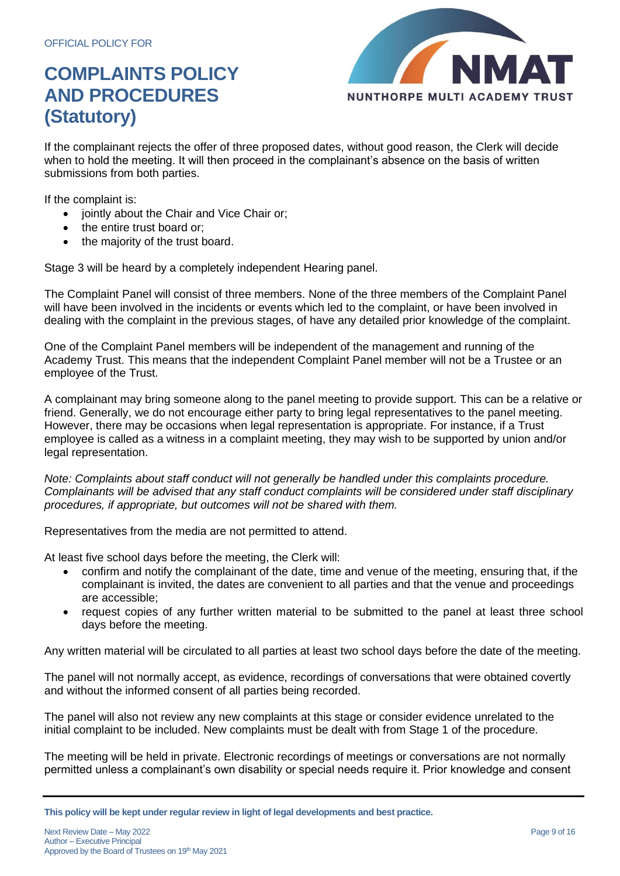

If the complainant rejects the offer of three proposed dates, without good reason, the Clerk will decide when to hold the meeting. It will then proceed in the complainant's absence on the basis of written submissions from both parties.

If the complaint is:

- jointly about the Chair and Vice Chair or;
- the entire trust board or:
- the majority of the trust board.

Stage 3 will be heard by a completely independent Hearing panel.

The Complaint Panel will consist of three members. None of the three members of the Complaint Panel will have been involved in the incidents or events which led to the complaint, or have been involved in dealing with the complaint in the previous stages, of have any detailed prior knowledge of the complaint.

One of the Complaint Panel members will be independent of the management and running of the Academy Trust. This means that the independent Complaint Panel member will not be a Trustee or an employee of the Trust.

A complainant may bring someone along to the panel meeting to provide support. This can be a relative or friend. Generally, we do not encourage either party to bring legal representatives to the panel meeting. However, there may be occasions when legal representation is appropriate. For instance, if a Trust employee is called as a witness in a complaint meeting, they may wish to be supported by union and/or legal representation.

*Note: Complaints about staff conduct will not generally be handled under this complaints procedure. Complainants will be advised that any staff conduct complaints will be considered under staff disciplinary procedures, if appropriate, but outcomes will not be shared with them.* 

Representatives from the media are not permitted to attend.

At least five school days before the meeting, the Clerk will:

- confirm and notify the complainant of the date, time and venue of the meeting, ensuring that, if the complainant is invited, the dates are convenient to all parties and that the venue and proceedings are accessible;
- request copies of any further written material to be submitted to the panel at least three school days before the meeting.

Any written material will be circulated to all parties at least two school days before the date of the meeting.

The panel will not normally accept, as evidence, recordings of conversations that were obtained covertly and without the informed consent of all parties being recorded.

The panel will also not review any new complaints at this stage or consider evidence unrelated to the initial complaint to be included. New complaints must be dealt with from Stage 1 of the procedure.

The meeting will be held in private. Electronic recordings of meetings or conversations are not normally permitted unless a complainant's own disability or special needs require it. Prior knowledge and consent

**This policy will be kept under regular review in light of legal developments and best practice.**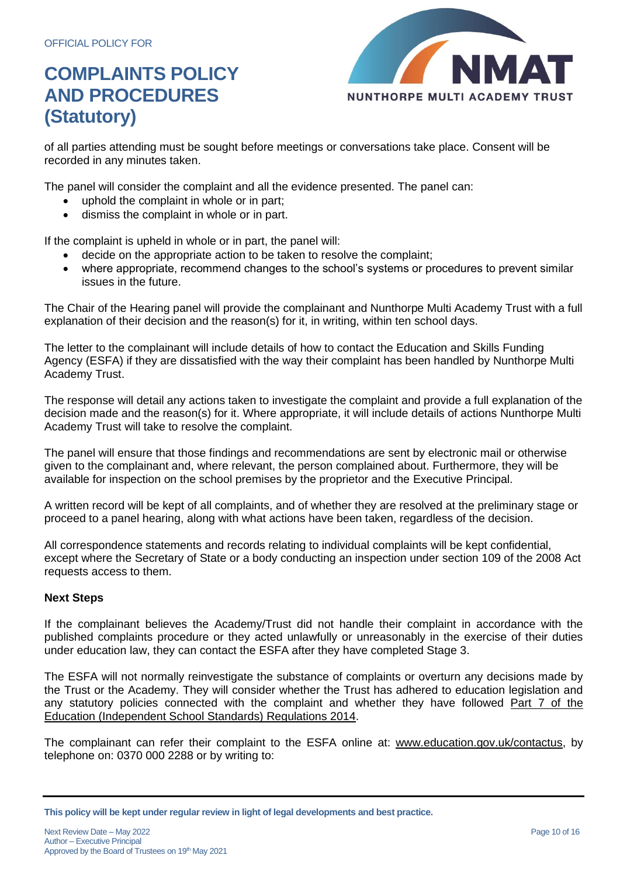

of all parties attending must be sought before meetings or conversations take place. Consent will be recorded in any minutes taken.

The panel will consider the complaint and all the evidence presented. The panel can:

- uphold the complaint in whole or in part;
- dismiss the complaint in whole or in part.

If the complaint is upheld in whole or in part, the panel will:

- decide on the appropriate action to be taken to resolve the complaint;
- where appropriate, recommend changes to the school's systems or procedures to prevent similar issues in the future.

The Chair of the Hearing panel will provide the complainant and Nunthorpe Multi Academy Trust with a full explanation of their decision and the reason(s) for it, in writing, within ten school days.

The letter to the complainant will include details of how to contact the Education and Skills Funding Agency (ESFA) if they are dissatisfied with the way their complaint has been handled by Nunthorpe Multi Academy Trust.

The response will detail any actions taken to investigate the complaint and provide a full explanation of the decision made and the reason(s) for it. Where appropriate, it will include details of actions Nunthorpe Multi Academy Trust will take to resolve the complaint.

The panel will ensure that those findings and recommendations are sent by electronic mail or otherwise given to the complainant and, where relevant, the person complained about. Furthermore, they will be available for inspection on the school premises by the proprietor and the Executive Principal.

A written record will be kept of all complaints, and of whether they are resolved at the preliminary stage or proceed to a panel hearing, along with what actions have been taken, regardless of the decision.

All correspondence statements and records relating to individual complaints will be kept confidential, except where the Secretary of State or a body conducting an inspection under section 109 of the 2008 Act requests access to them.

### **Next Steps**

If the complainant believes the Academy/Trust did not handle their complaint in accordance with the published complaints procedure or they acted unlawfully or unreasonably in the exercise of their duties under education law, they can contact the ESFA after they have completed Stage 3.

The ESFA will not normally reinvestigate the substance of complaints or overturn any decisions made by the Trust or the Academy. They will consider whether the Trust has adhered to education legislation and any statutory policies connected with the complaint and whether they have followed [Part 7 of the](http://www.legislation.gov.uk/uksi/2010/1997/schedule/1/made)  [Education \(Independent School Standards\) Regulations 2014.](http://www.legislation.gov.uk/uksi/2010/1997/schedule/1/made)

The complainant can refer their complaint to the ESFA online at: [www.education.gov.uk/contactus,](http://www.education.gov.uk/contactus) by telephone on: 0370 000 2288 or by writing to:

**This policy will be kept under regular review in light of legal developments and best practice.**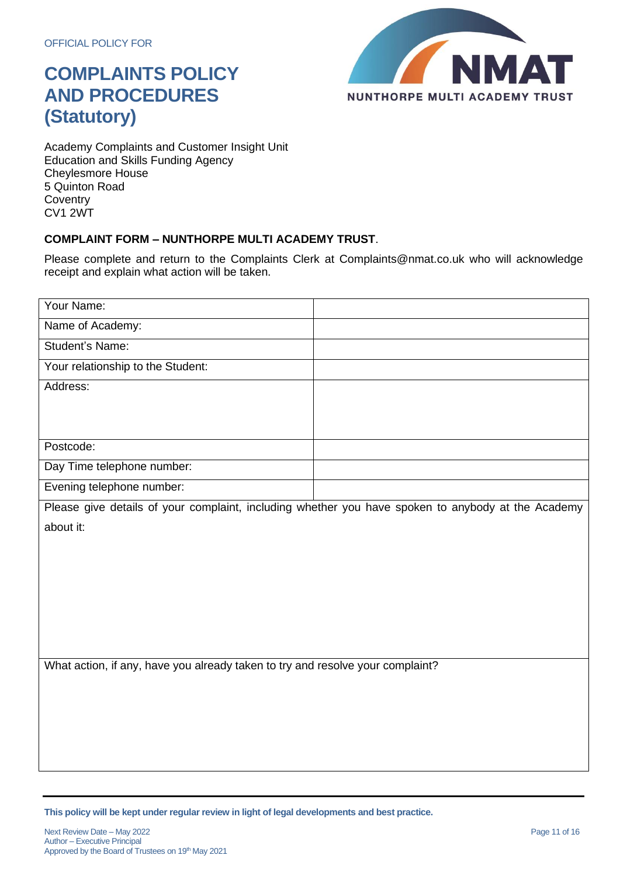

Academy Complaints and Customer Insight Unit Education and Skills Funding Agency Cheylesmore House 5 Quinton Road **Coventry** CV1 2WT

### **COMPLAINT FORM – NUNTHORPE MULTI ACADEMY TRUST**.

Please complete and return to the Complaints Clerk at Complaints@nmat.co.uk who will acknowledge receipt and explain what action will be taken.

| Your Name:                                                                                         |  |  |  |
|----------------------------------------------------------------------------------------------------|--|--|--|
| Name of Academy:                                                                                   |  |  |  |
| Student's Name:                                                                                    |  |  |  |
| Your relationship to the Student:                                                                  |  |  |  |
| Address:                                                                                           |  |  |  |
|                                                                                                    |  |  |  |
|                                                                                                    |  |  |  |
| Postcode:                                                                                          |  |  |  |
| Day Time telephone number:                                                                         |  |  |  |
| Evening telephone number:                                                                          |  |  |  |
| Please give details of your complaint, including whether you have spoken to anybody at the Academy |  |  |  |
| about it:                                                                                          |  |  |  |
|                                                                                                    |  |  |  |
|                                                                                                    |  |  |  |
|                                                                                                    |  |  |  |
|                                                                                                    |  |  |  |
|                                                                                                    |  |  |  |
|                                                                                                    |  |  |  |
| What action, if any, have you already taken to try and resolve your complaint?                     |  |  |  |
|                                                                                                    |  |  |  |
|                                                                                                    |  |  |  |
|                                                                                                    |  |  |  |
|                                                                                                    |  |  |  |
|                                                                                                    |  |  |  |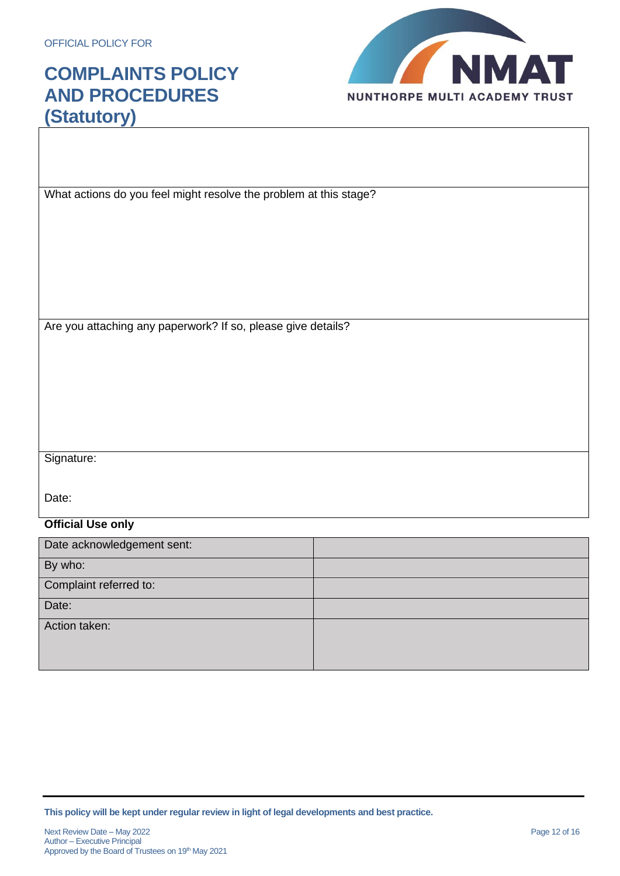

What actions do you feel might resolve the problem at this stage?

Are you attaching any paperwork? If so, please give details?

Signature:

Date:

### **Official Use only**

| Date acknowledgement sent: |  |
|----------------------------|--|
| By who:                    |  |
| Complaint referred to:     |  |
| Date:                      |  |
| Action taken:              |  |
|                            |  |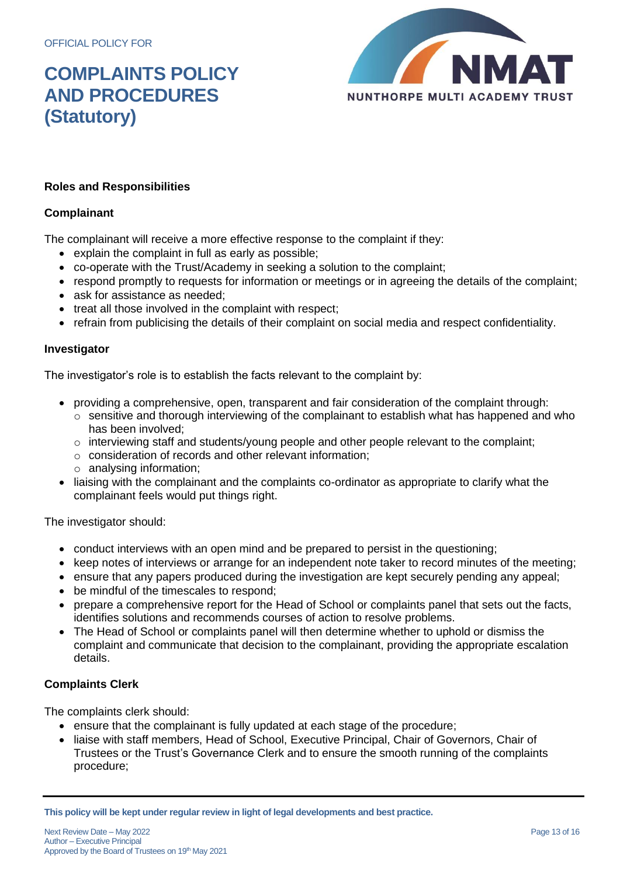

### **Roles and Responsibilities**

### **Complainant**

The complainant will receive a more effective response to the complaint if they:

- explain the complaint in full as early as possible;
- co-operate with the Trust/Academy in seeking a solution to the complaint;
- respond promptly to requests for information or meetings or in agreeing the details of the complaint;
- ask for assistance as needed:
- treat all those involved in the complaint with respect;
- refrain from publicising the details of their complaint on social media and respect confidentiality.

### **Investigator**

The investigator's role is to establish the facts relevant to the complaint by:

- providing a comprehensive, open, transparent and fair consideration of the complaint through:
	- o sensitive and thorough interviewing of the complainant to establish what has happened and who has been involved;
	- $\circ$  interviewing staff and students/young people and other people relevant to the complaint;
	- o consideration of records and other relevant information;
	- o analysing information;
- liaising with the complainant and the complaints co-ordinator as appropriate to clarify what the complainant feels would put things right.

The investigator should:

- conduct interviews with an open mind and be prepared to persist in the questioning;
- keep notes of interviews or arrange for an independent note taker to record minutes of the meeting;
- ensure that any papers produced during the investigation are kept securely pending any appeal;
- be mindful of the timescales to respond;
- prepare a comprehensive report for the Head of School or complaints panel that sets out the facts, identifies solutions and recommends courses of action to resolve problems.
- The Head of School or complaints panel will then determine whether to uphold or dismiss the complaint and communicate that decision to the complainant, providing the appropriate escalation details.

### **Complaints Clerk**

The complaints clerk should:

- ensure that the complainant is fully updated at each stage of the procedure;
- liaise with staff members, Head of School, Executive Principal, Chair of Governors, Chair of Trustees or the Trust's Governance Clerk and to ensure the smooth running of the complaints procedure;

**This policy will be kept under regular review in light of legal developments and best practice.**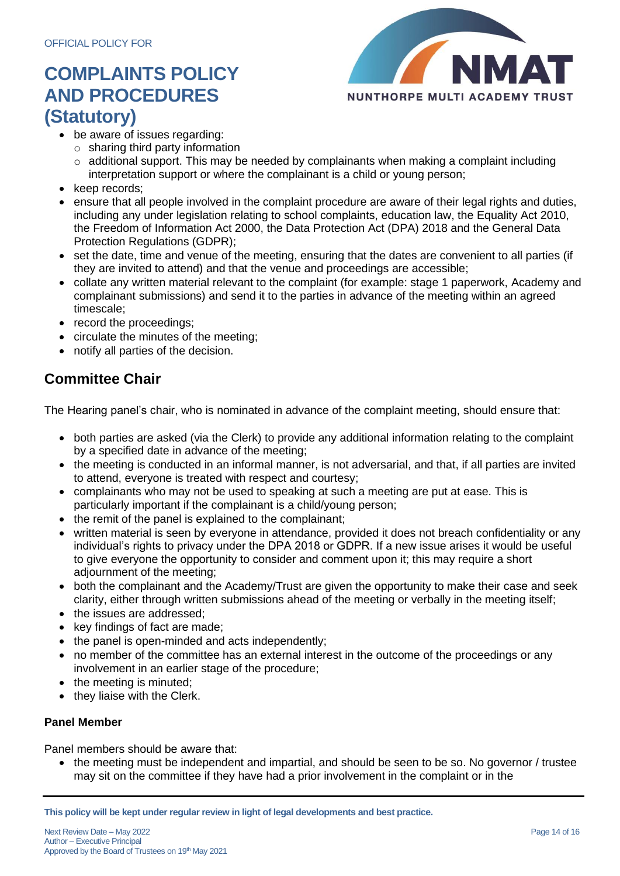

- be aware of issues regarding:
	- $\circ$  sharing third party information
	- $\circ$  additional support. This may be needed by complainants when making a complaint including interpretation support or where the complainant is a child or young person;
- keep records;
- ensure that all people involved in the complaint procedure are aware of their legal rights and duties, including any under legislation relating to school complaints, education law, the Equality Act 2010, the Freedom of Information Act 2000, the Data Protection Act (DPA) 2018 and the General Data Protection Regulations (GDPR);
- set the date, time and venue of the meeting, ensuring that the dates are convenient to all parties (if they are invited to attend) and that the venue and proceedings are accessible;
- collate any written material relevant to the complaint (for example: stage 1 paperwork, Academy and complainant submissions) and send it to the parties in advance of the meeting within an agreed timescale;
- record the proceedings;
- circulate the minutes of the meeting;
- notify all parties of the decision.

### **Committee Chair**

The Hearing panel's chair, who is nominated in advance of the complaint meeting, should ensure that:

- both parties are asked (via the Clerk) to provide any additional information relating to the complaint by a specified date in advance of the meeting;
- the meeting is conducted in an informal manner, is not adversarial, and that, if all parties are invited to attend, everyone is treated with respect and courtesy;
- complainants who may not be used to speaking at such a meeting are put at ease. This is particularly important if the complainant is a child/young person;
- the remit of the panel is explained to the complainant;
- written material is seen by everyone in attendance, provided it does not breach confidentiality or any individual's rights to privacy under the DPA 2018 or GDPR. If a new issue arises it would be useful to give everyone the opportunity to consider and comment upon it; this may require a short adjournment of the meeting;
- both the complainant and the Academy/Trust are given the opportunity to make their case and seek clarity, either through written submissions ahead of the meeting or verbally in the meeting itself;
- the issues are addressed;
- key findings of fact are made;
- the panel is open-minded and acts independently;
- no member of the committee has an external interest in the outcome of the proceedings or any involvement in an earlier stage of the procedure;
- the meeting is minuted;
- they liaise with the Clerk.

### **Panel Member**

Panel members should be aware that:

• the meeting must be independent and impartial, and should be seen to be so. No governor / trustee may sit on the committee if they have had a prior involvement in the complaint or in the

**This policy will be kept under regular review in light of legal developments and best practice.**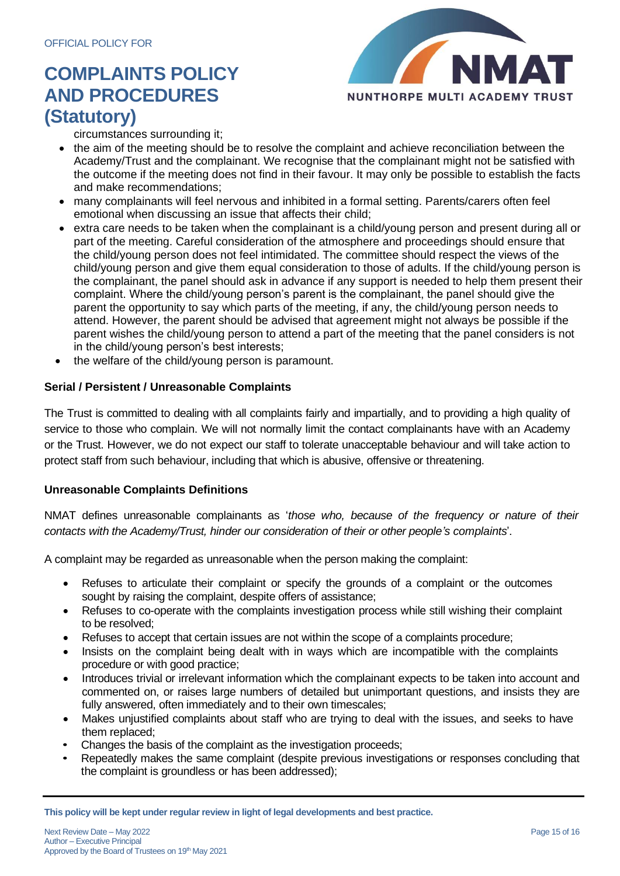

circumstances surrounding it;

- the aim of the meeting should be to resolve the complaint and achieve reconciliation between the Academy/Trust and the complainant. We recognise that the complainant might not be satisfied with the outcome if the meeting does not find in their favour. It may only be possible to establish the facts and make recommendations;
- many complainants will feel nervous and inhibited in a formal setting. Parents/carers often feel emotional when discussing an issue that affects their child;
- extra care needs to be taken when the complainant is a child/young person and present during all or part of the meeting. Careful consideration of the atmosphere and proceedings should ensure that the child/young person does not feel intimidated. The committee should respect the views of the child/young person and give them equal consideration to those of adults. If the child/young person is the complainant, the panel should ask in advance if any support is needed to help them present their complaint. Where the child/young person's parent is the complainant, the panel should give the parent the opportunity to say which parts of the meeting, if any, the child/young person needs to attend. However, the parent should be advised that agreement might not always be possible if the parent wishes the child/young person to attend a part of the meeting that the panel considers is not in the child/young person's best interests;
- the welfare of the child/young person is paramount.

### **Serial / Persistent / Unreasonable Complaints**

The Trust is committed to dealing with all complaints fairly and impartially, and to providing a high quality of service to those who complain. We will not normally limit the contact complainants have with an Academy or the Trust. However, we do not expect our staff to tolerate unacceptable behaviour and will take action to protect staff from such behaviour, including that which is abusive, offensive or threatening.

### **Unreasonable Complaints Definitions**

NMAT defines unreasonable complainants as '*those who, because of the frequency or nature of their contacts with the Academy/Trust, hinder our consideration of their or other people's complaints*'.

A complaint may be regarded as unreasonable when the person making the complaint:

- Refuses to articulate their complaint or specify the grounds of a complaint or the outcomes sought by raising the complaint, despite offers of assistance;
- Refuses to co-operate with the complaints investigation process while still wishing their complaint to be resolved;
- Refuses to accept that certain issues are not within the scope of a complaints procedure;
- Insists on the complaint being dealt with in ways which are incompatible with the complaints procedure or with good practice;
- Introduces trivial or irrelevant information which the complainant expects to be taken into account and commented on, or raises large numbers of detailed but unimportant questions, and insists they are fully answered, often immediately and to their own timescales;
- Makes unjustified complaints about staff who are trying to deal with the issues, and seeks to have them replaced;
- Changes the basis of the complaint as the investigation proceeds;
- Repeatedly makes the same complaint (despite previous investigations or responses concluding that the complaint is groundless or has been addressed);